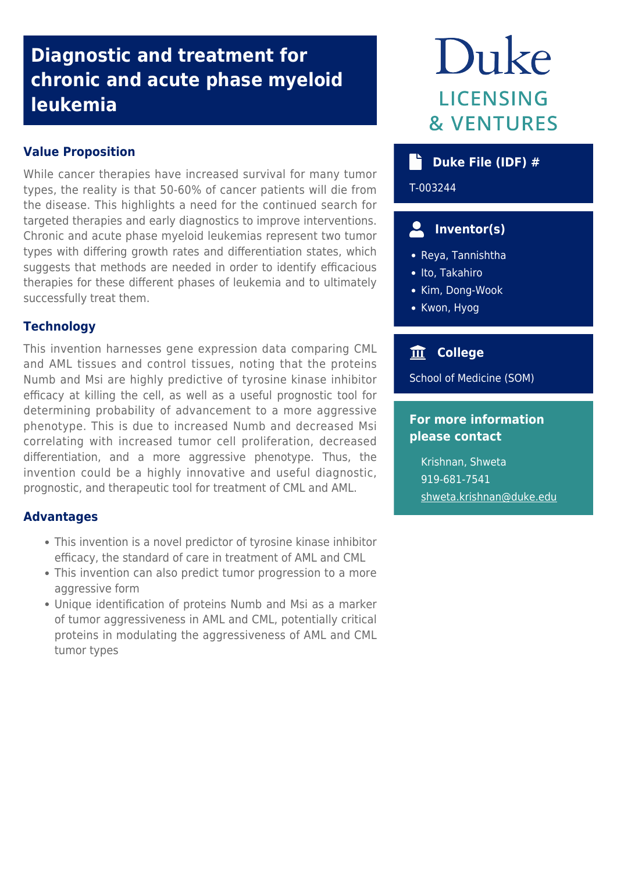# **Diagnostic and treatment for chronic and acute phase myeloid leukemia**

### **Value Proposition**

While cancer therapies have increased survival for many tumor types, the reality is that 50-60% of cancer patients will die from the disease. This highlights a need for the continued search for targeted therapies and early diagnostics to improve interventions. Chronic and acute phase myeloid leukemias represent two tumor types with differing growth rates and differentiation states, which suggests that methods are needed in order to identify efficacious therapies for these different phases of leukemia and to ultimately successfully treat them.

## **Technology**

This invention harnesses gene expression data comparing CML and AML tissues and control tissues, noting that the proteins Numb and Msi are highly predictive of tyrosine kinase inhibitor efficacy at killing the cell, as well as a useful prognostic tool for determining probability of advancement to a more aggressive phenotype. This is due to increased Numb and decreased Msi correlating with increased tumor cell proliferation, decreased differentiation, and a more aggressive phenotype. Thus, the invention could be a highly innovative and useful diagnostic, prognostic, and therapeutic tool for treatment of CML and AML.

#### **Advantages**

- This invention is a novel predictor of tyrosine kinase inhibitor efficacy, the standard of care in treatment of AML and CML
- This invention can also predict tumor progression to a more aggressive form
- Unique identification of proteins Numb and Msi as a marker of tumor aggressiveness in AML and CML, potentially critical proteins in modulating the aggressiveness of AML and CML tumor types

# Duke **LICENSING & VENTURES**

# **Duke File (IDF) #**

T-003244

# **Inventor(s)**

- Reya, Tannishtha
- Ito, Takahiro
- Kim, Dong-Wook
- Kwon, Hyog

# **College**

School of Medicine (SOM)

#### **For more information please contact**

Krishnan, Shweta 919-681-7541 [shweta.krishnan@duke.edu](mailto:shweta.krishnan@duke.edu)